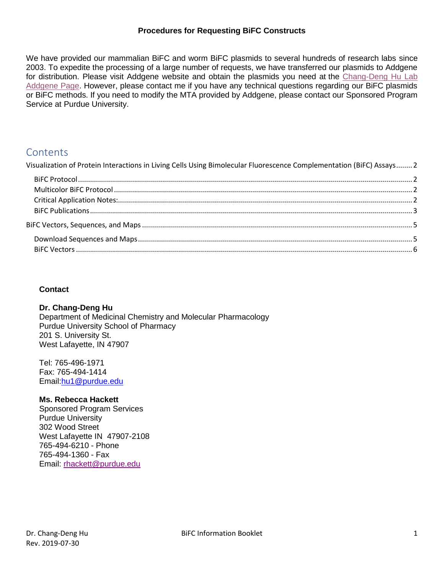#### **Procedures for Requesting BiFC Constructs**

We have provided our mammalian BiFC and worm BiFC plasmids to several hundreds of research labs since 2003. To expedite the processing of a large number of requests, we have transferred our plasmids to Addgene for distribution. Please visit Addgene website and obtain the plasmids you need at the [Chang-Deng Hu Lab](http://www.addgene.org/pgvec1?f=c&cmd=showcol&colid=684)  [Addgene Page.](http://www.addgene.org/pgvec1?f=c&cmd=showcol&colid=684) However, please contact me if you have any technical questions regarding our BiFC plasmids or BiFC methods. If you need to modify the MTA provided by Addgene, please contact our Sponsored Program Service at Purdue University.

# Contents

[Visualization of Protein Interactions in Living Cells Using Bimolecular Fluorescence Complementation \(BiFC\) Assays........](#page-1-0) 2

## **Contact**

#### **Dr. Chang-Deng Hu**

Department of Medicinal Chemistry and Molecular Pharmacology Purdue University School of Pharmacy 201 S. University St. West Lafayette, IN 47907

Tel: 765-496-1971 Fax: 765-494-1414 Email[:hu1@purdue.edu](mailto:hu1@purdue.edu)

#### **Ms. Rebecca Hackett**

Sponsored Program Services Purdue University 302 Wood Street West Lafayette IN 47907-2108 765-494-6210 - Phone 765-494-1360 - Fax Email: [rhackett@purdue.edu](mailto:rhackett@purdue.edu)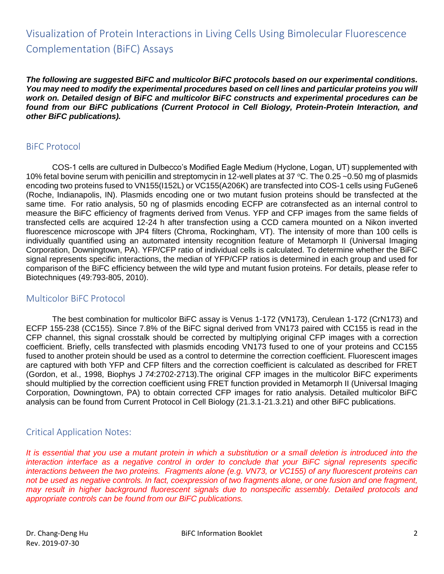# <span id="page-1-0"></span>Visualization of Protein Interactions in Living Cells Using Bimolecular Fluorescence Complementation (BiFC) Assays

*The following are suggested BiFC and multicolor BiFC protocols based on our experimental conditions. You may need to modify the experimental procedures based on cell lines and particular proteins you will work on. Detailed design of BiFC and multicolor BiFC constructs and experimental procedures can be found from our BiFC publications (Current Protocol in Cell Biology, Protein-Protein Interaction, and other BiFC publications).*

# <span id="page-1-1"></span>BiFC Protocol

COS-1 cells are cultured in Dulbecco's Modified Eagle Medium (Hyclone, Logan, UT) supplemented with 10% fetal bovine serum with penicillin and streptomycin in 12-well plates at 37 °C. The 0.25 ~0.50 mg of plasmids encoding two proteins fused to VN155(I152L) or VC155(A206K) are transfected into COS-1 cells using FuGene6 (Roche, Indianapolis, IN). Plasmids encoding one or two mutant fusion proteins should be transfected at the same time. For ratio analysis, 50 ng of plasmids encoding ECFP are cotransfected as an internal control to measure the BiFC efficiency of fragments derived from Venus. YFP and CFP images from the same fields of transfected cells are acquired 12-24 h after transfection using a CCD camera mounted on a Nikon inverted fluorescence microscope with JP4 filters (Chroma, Rockingham, VT). The intensity of more than 100 cells is individually quantified using an automated intensity recognition feature of Metamorph II (Universal Imaging Corporation, Downingtown, PA). YFP/CFP ratio of individual cells is calculated. To determine whether the BiFC signal represents specific interactions, the median of YFP/CFP ratios is determined in each group and used for comparison of the BiFC efficiency between the wild type and mutant fusion proteins. For details, please refer to Biotechniques (49:793-805, 2010).

# <span id="page-1-2"></span>Multicolor BiFC Protocol

The best combination for multicolor BiFC assay is Venus 1-172 (VN173), Cerulean 1-172 (CrN173) and ECFP 155-238 (CC155). Since 7.8% of the BiFC signal derived from VN173 paired with CC155 is read in the CFP channel, this signal crosstalk should be corrected by multiplying original CFP images with a correction coefficient. Briefly, cells transfected with plasmids encoding VN173 fused to one of your proteins and CC155 fused to another protein should be used as a control to determine the correction coefficient. Fluorescent images are captured with both YFP and CFP filters and the correction coefficient is calculated as described for FRET (Gordon, et al., 1998, Biophys J *74*:2702-2713).The original CFP images in the multicolor BiFC experiments should multiplied by the correction coefficient using FRET function provided in Metamorph II (Universal Imaging Corporation, Downingtown, PA) to obtain corrected CFP images for ratio analysis. Detailed multicolor BiFC analysis can be found from Current Protocol in Cell Biology (21.3.1-21.3.21) and other BiFC publications.

# <span id="page-1-3"></span>Critical Application Notes:

It is essential that you use a mutant protein in which a substitution or a small deletion is introduced into the *interaction interface as a negative control in order to conclude that your BiFC signal represents specific interactions between the two proteins. Fragments alone (e.g. VN73, or VC155) of any fluorescent proteins can not be used as negative controls. In fact, coexpression of two fragments alone, or one fusion and one fragment, may result in higher background fluorescent signals due to nonspecific assembly. Detailed protocols and appropriate controls can be found from our BiFC publications.*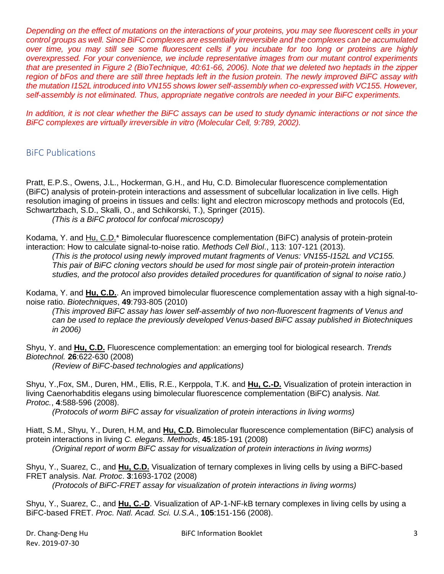*Depending on the effect of mutations on the interactions of your proteins, you may see fluorescent cells in your control groups as well. Since BiFC complexes are essentially irreversible and the complexes can be accumulated over time, you may still see some fluorescent cells if you incubate for too long or proteins are highly overexpressed. For your convenience, we include representative images from our mutant control experiments that are presented in Figure 2 (BioTechnique, 40:61-66, 2006). Note that we deleted two heptads in the zipper*  region of bFos and there are still three heptads left in the fusion protein. The newly improved BiFC assay with *the mutation I152L introduced into VN155 shows lower self-assembly when co-expressed with VC155. However, self-assembly is not eliminated. Thus, appropriate negative controls are needed in your BiFC experiments.*

*In addition, it is not clear whether the BiFC assays can be used to study dynamic interactions or not since the BiFC complexes are virtually irreversible in vitro (Molecular Cell, 9:789, 2002).*

# <span id="page-2-0"></span>BiFC Publications

Pratt, E.P.S., Owens, J.L., Hockerman, G.H., and Hu, C.D. Bimolecular fluorescence complementation (BiFC) analysis of protein-protein interactions and assessment of subcellular localization in live cells. High resolution imaging of proeins in tissues and cells: light and electron microscopy methods and protocols (Ed, Schwartzbach, S.D., Skalli, O., and Schikorski, T.), Springer (2015).

*(This is a BiFC protocol for confocal microscopy)*

Kodama, Y. and Hu, C.D.\* Bimolecular fluorescence complementation (BiFC) analysis of protein-protein interaction: How to calculate signal-to-noise ratio. *Methods Cell Biol*., 113: 107-121 (2013).

*(This is the protocol using newly improved mutant fragments of Venus: VN155-I152L and VC155. This pair of BiFC cloning vectors should be used for most single pair of protein-protein interaction studies, and the protocol also provides detailed procedures for quantification of signal to noise ratio.)*

Kodama, Y. and **Hu, C.D.**. An improved bimolecular fluorescence complementation assay with a high signal-tonoise ratio. *Biotechniques*, **49**:793-805 (2010)

*(This improved BiFC assay has lower self-assembly of two non-fluorescent fragments of Venus and can be used to replace the previously developed Venus-based BiFC assay published in Biotechniques in 2006)*

Shyu, Y. and **Hu, C.D.** Fluorescence complementation: an emerging tool for biological research. *Trends Biotechnol.* **26**:622-630 (2008)

*(Review of BiFC-based technologies and applications)*

Shyu, Y.,Fox, SM., Duren, HM., Ellis, R.E., Kerppola, T.K. and **Hu, C.-D.** Visualization of protein interaction in living Caenorhabditis elegans using bimolecular fluorescence complementation (BiFC) analysis. *Nat. Protoc.*, **4**:588-596 (2008).

*(Protocols of worm BiFC assay for visualization of protein interactions in living worms)*

Hiatt, S.M., Shyu, Y., Duren, H.M, and **Hu, C.D.** Bimolecular fluorescence complementation (BiFC) analysis of protein interactions in living *C. elegans*. *Methods*, **45**:185-191 (2008) *(Original report of worm BiFC assay for visualization of protein interactions in living worms)*

Shyu, Y., Suarez, C., and **Hu, C.D.** Visualization of ternary complexes in living cells by using a BiFC-based FRET analysis. *Nat. Protoc*. **3**:1693-1702 (2008)

*(Protocols of BiFC-FRET assay for visualization of protein interactions in living worms)*

Shyu, Y., Suarez, C., and **Hu, C.-D**. Visualization of AP-1-NF-kB ternary complexes in living cells by using a BiFC-based FRET. *Proc. Natl. Acad. Sci. U.S.A*., **105**:151-156 (2008).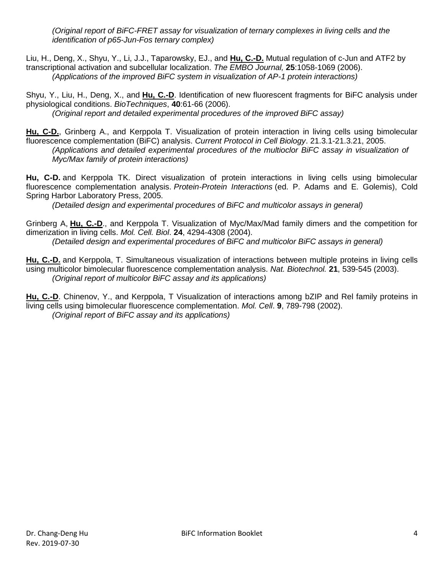*(Original report of BiFC-FRET assay for visualization of ternary complexes in living cells and the identification of p65-Jun-Fos ternary complex)*

Liu, H., Deng, X., Shyu, Y., Li, J.J., Taparowsky, EJ., and **Hu, C.-D.** Mutual regulation of c-Jun and ATF2 by transcriptional activation and subcellular localization. *The EMBO Journal,* **25**:1058-1069 (2006). *(Applications of the improved BiFC system in visualization of AP-1 protein interactions)*

Shyu, Y., Liu, H., Deng, X., and **Hu, C.-D**. Identification of new fluorescent fragments for BiFC analysis under physiological conditions. *BioTechniques*, **40**:61-66 (2006). *(Original report and detailed experimental procedures of the improved BiFC assay)*

**Hu, C-D.**, Grinberg A., and Kerppola T. Visualization of protein interaction in living cells using bimolecular fluorescence complementation (BiFC) analysis. *Current Protocol in Cell Biology*. 21.3.1-21.3.21, 2005. *(Applications and detailed experimental procedures of the multioclor BiFC assay in visualization of Myc/Max family of protein interactions)*

**Hu, C-D.** and Kerppola TK. Direct visualization of protein interactions in living cells using bimolecular fluorescence complementation analysis. *Protein-Protein Interactions* (ed. P. Adams and E. Golemis), Cold Spring Harbor Laboratory Press, 2005.

*(Detailed design and experimental procedures of BiFC and multicolor assays in general)*

Grinberg A, **Hu, C.-D**., and Kerppola T. Visualization of Myc/Max/Mad family dimers and the competition for dimerization in living cells. *Mol. Cell. Biol*. **24**, 4294-4308 (2004).

*(Detailed design and experimental procedures of BiFC and multicolor BiFC assays in general)*

**Hu, C.-D.** and Kerppola, T. Simultaneous visualization of interactions between multiple proteins in living cells using multicolor bimolecular fluorescence complementation analysis. *Nat. Biotechnol.* **21**, 539-545 (2003). *(Original report of multicolor BiFC assay and its applications)*

**Hu, C.-D**. Chinenov, Y., and Kerppola, T Visualization of interactions among bZIP and Rel family proteins in living cells using bimolecular fluorescence complementation. *Mol. Cell*. **9**, 789-798 (2002). *(Original report of BiFC assay and its applications)*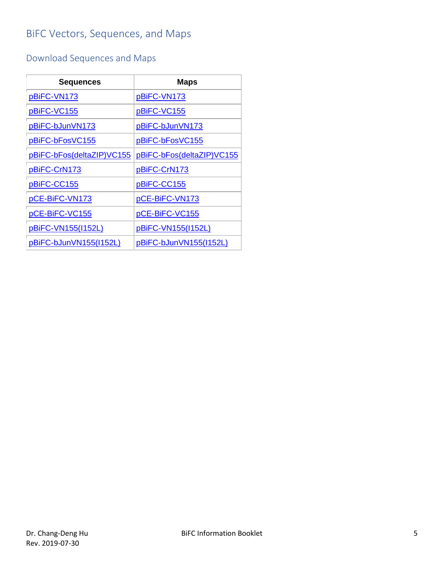# <span id="page-4-0"></span>BiFC Vectors, Sequences, and Maps

# <span id="page-4-1"></span>Download Sequences and Maps

| <b>Sequences</b>          | <b>Maps</b>               |
|---------------------------|---------------------------|
| pBiFC-VN173               | pBiFC-VN173               |
| pBiFC-VC155               | pBiFC-VC155               |
| pBiFC-bJunVN173           | pBiFC-bJunVN173           |
| pBiFC-bFosVC155           | pBiFC-bFosVC155           |
| pBiFC-bFos(deltaZIP)VC155 | pBiFC-bFos(deltaZIP)VC155 |
| pBiFC-CrN173              | pBiFC-CrN173              |
| pBiFC-CC155               | pBiFC-CC155               |
| pCE-BiFC-VN173            | pCE-BiFC-VN173            |
| pCE-BiFC-VC155            | pCE-BiFC-VC155            |
| pBiFC-VN155(I152L)        | pBiFC-VN155(I152L)        |
| pBiFC-bJunVN155(I152L)    | pBiFC-bJunVN155(I152L)    |